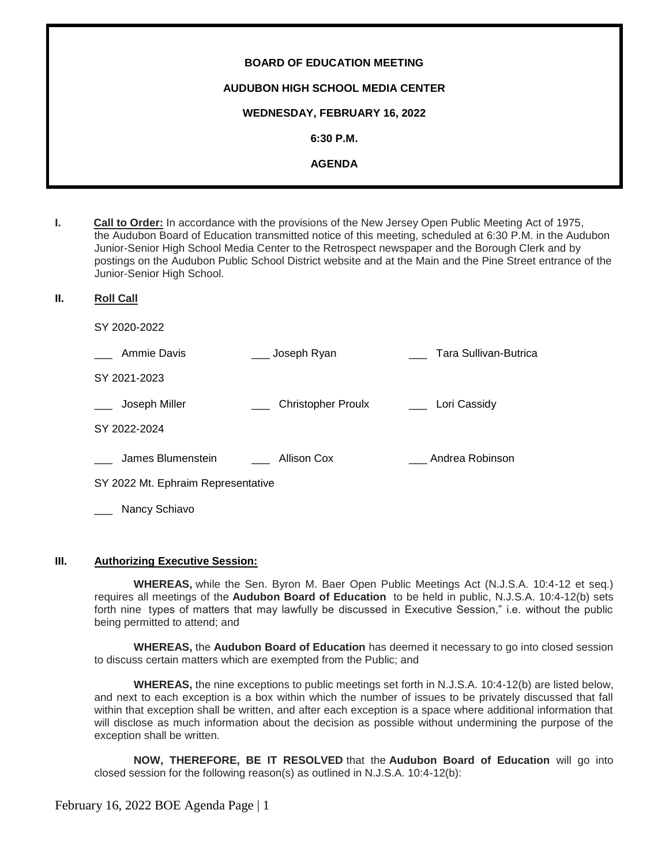| <b>BOARD OF EDUCATION MEETING</b>       |
|-----------------------------------------|
| <b>AUDUBON HIGH SCHOOL MEDIA CENTER</b> |
| WEDNESDAY, FEBRUARY 16, 2022            |
| $6:30$ P.M.                             |
| <b>AGENDA</b>                           |
|                                         |

- **I. Call to Order:** In accordance with the provisions of the New Jersey Open Public Meeting Act of 1975, the Audubon Board of Education transmitted notice of this meeting, scheduled at 6:30 P.M. in the Audubon Junior-Senior High School Media Center to the Retrospect newspaper and the Borough Clerk and by postings on the Audubon Public School District website and at the Main and the Pine Street entrance of the Junior-Senior High School.
- **II. Roll Call**

SY 2020-2022

| Ammie Davis                        | Joseph Ryan               | Tara Sullivan-Butrica |
|------------------------------------|---------------------------|-----------------------|
| SY 2021-2023                       |                           |                       |
| Joseph Miller                      | <b>Christopher Proulx</b> | Lori Cassidy          |
| SY 2022-2024                       |                           |                       |
| James Blumenstein                  | Allison Cox               | Andrea Robinson       |
| SY 2022 Mt. Ephraim Representative |                           |                       |
| Nancy Schiavo                      |                           |                       |

#### **III. Authorizing Executive Session:**

**WHEREAS,** while the Sen. Byron M. Baer Open Public Meetings Act (N.J.S.A. 10:4-12 et seq.) requires all meetings of the **Audubon Board of Education** to be held in public, N.J.S.A. 10:4-12(b) sets forth nine types of matters that may lawfully be discussed in Executive Session," i.e. without the public being permitted to attend; and

**WHEREAS,** the **Audubon Board of Education** has deemed it necessary to go into closed session to discuss certain matters which are exempted from the Public; and

**WHEREAS,** the nine exceptions to public meetings set forth in N.J.S.A. 10:4-12(b) are listed below, and next to each exception is a box within which the number of issues to be privately discussed that fall within that exception shall be written, and after each exception is a space where additional information that will disclose as much information about the decision as possible without undermining the purpose of the exception shall be written.

**NOW, THEREFORE, BE IT RESOLVED** that the **Audubon Board of Education** will go into closed session for the following reason(s) as outlined in N.J.S.A. 10:4-12(b):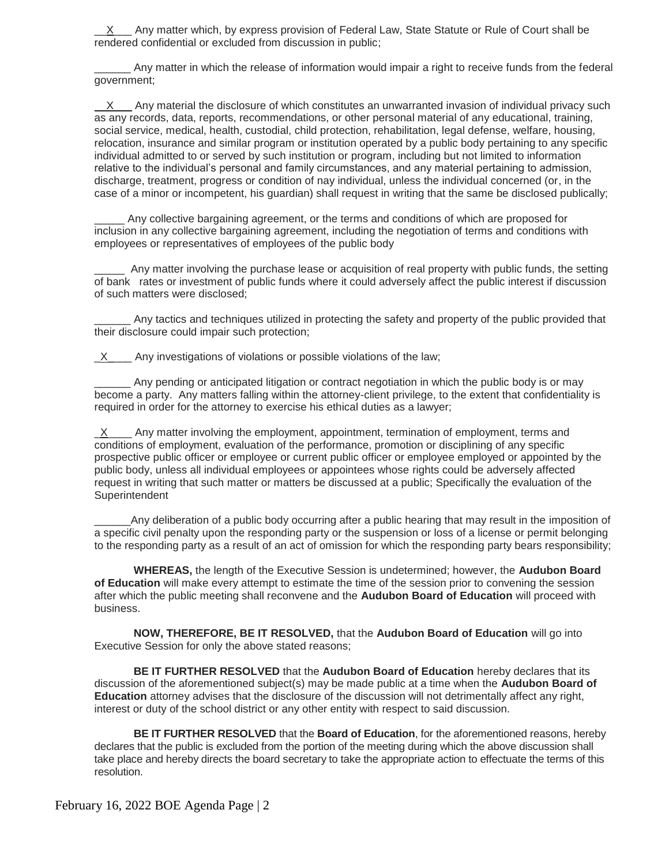X Any matter which, by express provision of Federal Law, State Statute or Rule of Court shall be rendered confidential or excluded from discussion in public;

\_\_\_\_\_\_ Any matter in which the release of information would impair a right to receive funds from the federal government;

 X Any material the disclosure of which constitutes an unwarranted invasion of individual privacy such as any records, data, reports, recommendations, or other personal material of any educational, training, social service, medical, health, custodial, child protection, rehabilitation, legal defense, welfare, housing, relocation, insurance and similar program or institution operated by a public body pertaining to any specific individual admitted to or served by such institution or program, including but not limited to information relative to the individual's personal and family circumstances, and any material pertaining to admission, discharge, treatment, progress or condition of nay individual, unless the individual concerned (or, in the case of a minor or incompetent, his guardian) shall request in writing that the same be disclosed publically;

Any collective bargaining agreement, or the terms and conditions of which are proposed for inclusion in any collective bargaining agreement, including the negotiation of terms and conditions with employees or representatives of employees of the public body

Any matter involving the purchase lease or acquisition of real property with public funds, the setting of bank rates or investment of public funds where it could adversely affect the public interest if discussion of such matters were disclosed;

Any tactics and techniques utilized in protecting the safety and property of the public provided that their disclosure could impair such protection;

 $X$  Any investigations of violations or possible violations of the law;

Any pending or anticipated litigation or contract negotiation in which the public body is or may become a party. Any matters falling within the attorney-client privilege, to the extent that confidentiality is required in order for the attorney to exercise his ethical duties as a lawyer;

 $\underline{X}$  Any matter involving the employment, appointment, termination of employment, terms and conditions of employment, evaluation of the performance, promotion or disciplining of any specific prospective public officer or employee or current public officer or employee employed or appointed by the public body, unless all individual employees or appointees whose rights could be adversely affected request in writing that such matter or matters be discussed at a public; Specifically the evaluation of the Superintendent

Any deliberation of a public body occurring after a public hearing that may result in the imposition of a specific civil penalty upon the responding party or the suspension or loss of a license or permit belonging to the responding party as a result of an act of omission for which the responding party bears responsibility;

**WHEREAS,** the length of the Executive Session is undetermined; however, the **Audubon Board of Education** will make every attempt to estimate the time of the session prior to convening the session after which the public meeting shall reconvene and the **Audubon Board of Education** will proceed with business.

**NOW, THEREFORE, BE IT RESOLVED,** that the **Audubon Board of Education** will go into Executive Session for only the above stated reasons;

**BE IT FURTHER RESOLVED** that the **Audubon Board of Education** hereby declares that its discussion of the aforementioned subject(s) may be made public at a time when the **Audubon Board of Education** attorney advises that the disclosure of the discussion will not detrimentally affect any right, interest or duty of the school district or any other entity with respect to said discussion.

**BE IT FURTHER RESOLVED** that the **Board of Education**, for the aforementioned reasons, hereby declares that the public is excluded from the portion of the meeting during which the above discussion shall take place and hereby directs the board secretary to take the appropriate action to effectuate the terms of this resolution.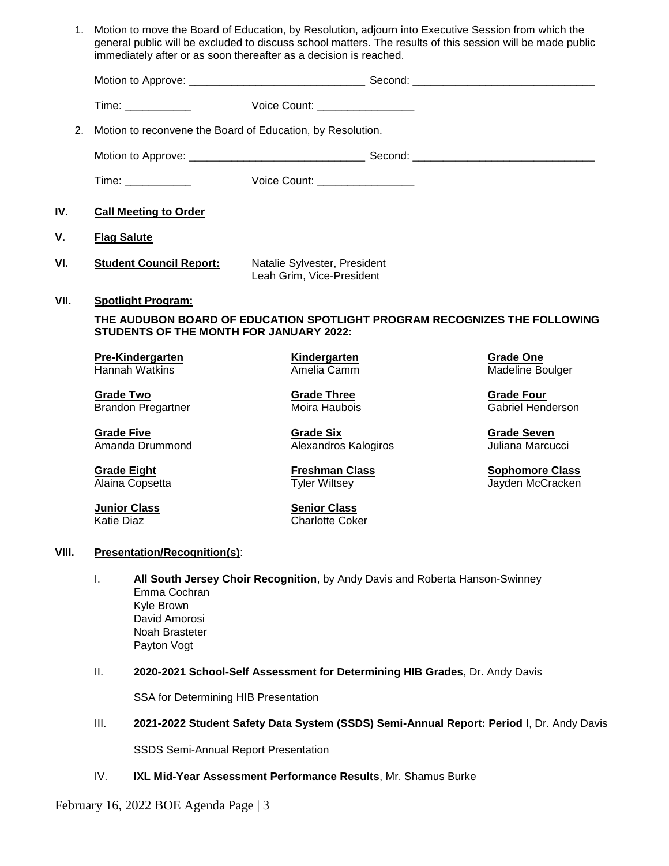| 1.    |                                                                                    | Motion to move the Board of Education, by Resolution, adjourn into Executive Session from which the<br>general public will be excluded to discuss school matters. The results of this session will be made public<br>immediately after or as soon thereafter as a decision is reached. |                                               |  |  |  |  |
|-------|------------------------------------------------------------------------------------|----------------------------------------------------------------------------------------------------------------------------------------------------------------------------------------------------------------------------------------------------------------------------------------|-----------------------------------------------|--|--|--|--|
|       |                                                                                    |                                                                                                                                                                                                                                                                                        |                                               |  |  |  |  |
|       | Time: _____________                                                                | Voice Count: __________________                                                                                                                                                                                                                                                        |                                               |  |  |  |  |
| 2.    |                                                                                    | Motion to reconvene the Board of Education, by Resolution.                                                                                                                                                                                                                             |                                               |  |  |  |  |
|       |                                                                                    |                                                                                                                                                                                                                                                                                        |                                               |  |  |  |  |
|       |                                                                                    | Voice Count: __________________                                                                                                                                                                                                                                                        |                                               |  |  |  |  |
| IV.   | <b>Call Meeting to Order</b>                                                       |                                                                                                                                                                                                                                                                                        |                                               |  |  |  |  |
| v.    | <b>Flag Salute</b>                                                                 |                                                                                                                                                                                                                                                                                        |                                               |  |  |  |  |
| VI.   | <b>Student Council Report:</b>                                                     | Natalie Sylvester, President<br>Leah Grim, Vice-President                                                                                                                                                                                                                              |                                               |  |  |  |  |
| VII.  | <b>Spotlight Program:</b>                                                          |                                                                                                                                                                                                                                                                                        |                                               |  |  |  |  |
|       |                                                                                    | THE AUDUBON BOARD OF EDUCATION SPOTLIGHT PROGRAM RECOGNIZES THE FOLLOWING<br><b>STUDENTS OF THE MONTH FOR JANUARY 2022:</b>                                                                                                                                                            |                                               |  |  |  |  |
|       | <b>Pre-Kindergarten</b><br>Hannah Watkins                                          | <b>Kindergarten</b><br>Amelia Camm                                                                                                                                                                                                                                                     | <b>Grade One</b><br>Madeline Boulger          |  |  |  |  |
|       | <b>Grade Two</b><br><b>Brandon Pregartner</b>                                      | <b>Grade Three</b><br>Moira Haubois                                                                                                                                                                                                                                                    | <b>Grade Four</b><br><b>Gabriel Henderson</b> |  |  |  |  |
|       | <b>Grade Five</b><br>Amanda Drummond                                               | <b>Grade Six</b><br>Alexandros Kalogiros                                                                                                                                                                                                                                               | <b>Grade Seven</b><br>Juliana Marcucci        |  |  |  |  |
|       | <b>Grade Eight</b><br>Alaina Copsetta                                              | <b>Freshman Class</b><br><b>Tyler Wiltsey</b>                                                                                                                                                                                                                                          | <b>Sophomore Class</b><br>Jayden McCracken    |  |  |  |  |
|       | <b>Junior Class</b><br><b>Katie Diaz</b>                                           | <b>Senior Class</b><br><b>Charlotte Coker</b>                                                                                                                                                                                                                                          |                                               |  |  |  |  |
| VIII. | <b>Presentation/Recognition(s):</b>                                                |                                                                                                                                                                                                                                                                                        |                                               |  |  |  |  |
|       | Ι.<br>Emma Cochran<br>Kyle Brown<br>David Amorosi<br>Noah Brasteter<br>Payton Vogt | All South Jersey Choir Recognition, by Andy Davis and Roberta Hanson-Swinney                                                                                                                                                                                                           |                                               |  |  |  |  |
|       | Ш.                                                                                 | 2020-2021 School-Self Assessment for Determining HIB Grades, Dr. Andy Davis                                                                                                                                                                                                            |                                               |  |  |  |  |
|       | SSA for Determining HIB Presentation                                               |                                                                                                                                                                                                                                                                                        |                                               |  |  |  |  |
|       | III.                                                                               | 2021-2022 Student Safety Data System (SSDS) Semi-Annual Report: Period I, Dr. Andy Davis                                                                                                                                                                                               |                                               |  |  |  |  |
|       |                                                                                    | <b>SSDS Semi-Annual Report Presentation</b>                                                                                                                                                                                                                                            |                                               |  |  |  |  |
|       | IV.                                                                                | IXL Mid-Year Assessment Performance Results, Mr. Shamus Burke                                                                                                                                                                                                                          |                                               |  |  |  |  |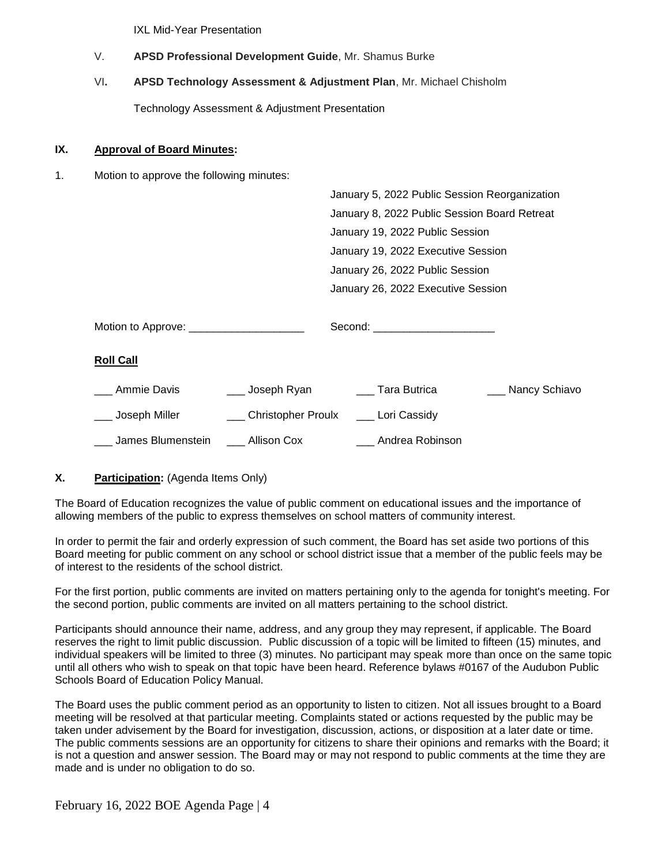IXL Mid-Year Presentation

- V. **APSD Professional Development Guide**, Mr. Shamus Burke
- VI**. APSD Technology Assessment & Adjustment Plan**, Mr. Michael Chisholm

Technology Assessment & Adjustment Presentation

#### **IX. Approval of Board Minutes:**

1. Motion to approve the following minutes:

|                                           |                                       | January 5, 2022 Public Session Reorganization |                   |
|-------------------------------------------|---------------------------------------|-----------------------------------------------|-------------------|
|                                           |                                       | January 8, 2022 Public Session Board Retreat  |                   |
|                                           |                                       | January 19, 2022 Public Session               |                   |
|                                           |                                       | January 19, 2022 Executive Session            |                   |
|                                           |                                       | January 26, 2022 Public Session               |                   |
|                                           |                                       | January 26, 2022 Executive Session            |                   |
|                                           |                                       |                                               |                   |
| Motion to Approve: ______________________ |                                       | Second: ________________________              |                   |
| <b>Roll Call</b>                          |                                       |                                               |                   |
| Ammie Davis                               | ___ Joseph Ryan                       | Tara Butrica                                  | ___ Nancy Schiavo |
| __ Joseph Miller                          | Christopher Proulx _____ Lori Cassidy |                                               |                   |
| James Blumenstein                         | Allison Cox                           | Andrea Robinson                               |                   |

## **X. Participation:** (Agenda Items Only)

The Board of Education recognizes the value of public comment on educational issues and the importance of allowing members of the public to express themselves on school matters of community interest.

In order to permit the fair and orderly expression of such comment, the Board has set aside two portions of this Board meeting for public comment on any school or school district issue that a member of the public feels may be of interest to the residents of the school district.

For the first portion, public comments are invited on matters pertaining only to the agenda for tonight's meeting. For the second portion, public comments are invited on all matters pertaining to the school district.

Participants should announce their name, address, and any group they may represent, if applicable. The Board reserves the right to limit public discussion. Public discussion of a topic will be limited to fifteen (15) minutes, and individual speakers will be limited to three (3) minutes. No participant may speak more than once on the same topic until all others who wish to speak on that topic have been heard. Reference bylaws #0167 of the Audubon Public Schools Board of Education Policy Manual.

The Board uses the public comment period as an opportunity to listen to citizen. Not all issues brought to a Board meeting will be resolved at that particular meeting. Complaints stated or actions requested by the public may be taken under advisement by the Board for investigation, discussion, actions, or disposition at a later date or time. The public comments sessions are an opportunity for citizens to share their opinions and remarks with the Board; it is not a question and answer session. The Board may or may not respond to public comments at the time they are made and is under no obligation to do so.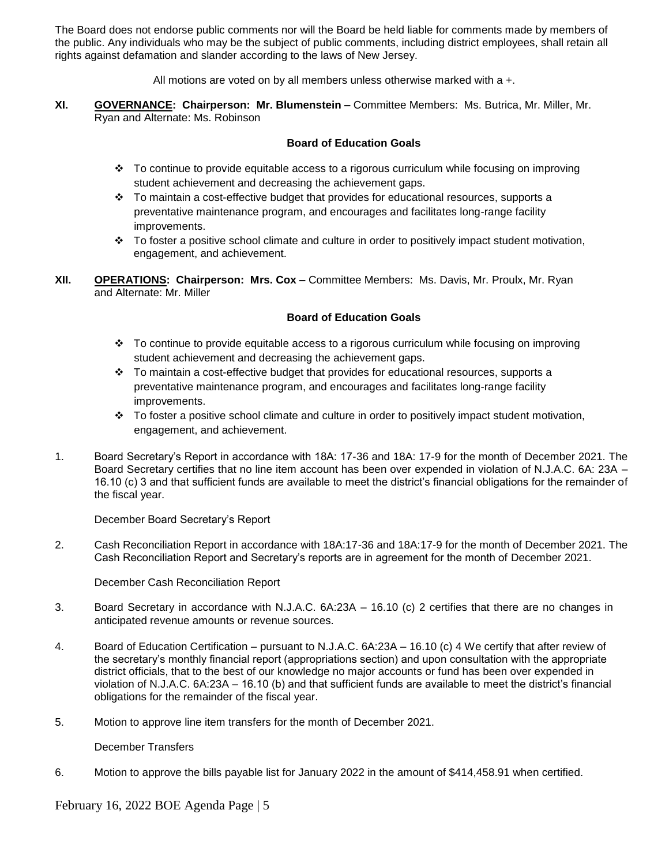The Board does not endorse public comments nor will the Board be held liable for comments made by members of the public. Any individuals who may be the subject of public comments, including district employees, shall retain all rights against defamation and slander according to the laws of New Jersey.

All motions are voted on by all members unless otherwise marked with a +.

**XI. GOVERNANCE: Chairperson: Mr. Blumenstein –** Committee Members: Ms. Butrica, Mr. Miller, Mr. Ryan and Alternate: Ms. Robinson

## **Board of Education Goals**

- To continue to provide equitable access to a rigorous curriculum while focusing on improving student achievement and decreasing the achievement gaps.
- $\div$  To maintain a cost-effective budget that provides for educational resources, supports a preventative maintenance program, and encourages and facilitates long-range facility improvements.
- To foster a positive school climate and culture in order to positively impact student motivation, engagement, and achievement.
- **XII. OPERATIONS: Chairperson: Mrs. Cox –** Committee Members: Ms. Davis, Mr. Proulx, Mr. Ryan and Alternate: Mr. Miller

#### **Board of Education Goals**

- To continue to provide equitable access to a rigorous curriculum while focusing on improving student achievement and decreasing the achievement gaps.
- $\div$  To maintain a cost-effective budget that provides for educational resources, supports a preventative maintenance program, and encourages and facilitates long-range facility improvements.
- To foster a positive school climate and culture in order to positively impact student motivation, engagement, and achievement.
- 1. Board Secretary's Report in accordance with 18A: 17-36 and 18A: 17-9 for the month of December 2021. The Board Secretary certifies that no line item account has been over expended in violation of N.J.A.C. 6A: 23A – 16.10 (c) 3 and that sufficient funds are available to meet the district's financial obligations for the remainder of the fiscal year.

December Board Secretary's Report

2. Cash Reconciliation Report in accordance with 18A:17-36 and 18A:17-9 for the month of December 2021. The Cash Reconciliation Report and Secretary's reports are in agreement for the month of December 2021.

December Cash Reconciliation Report

- 3.Board Secretary in accordance with N.J.A.C. 6A:23A 16.10 (c) 2 certifies that there are no changes in anticipated revenue amounts or revenue sources.
- 4. Board of Education Certification pursuant to N.J.A.C. 6A:23A 16.10 (c) 4 We certify that after review of the secretary's monthly financial report (appropriations section) and upon consultation with the appropriate district officials, that to the best of our knowledge no major accounts or fund has been over expended in violation of N.J.A.C. 6A:23A – 16.10 (b) and that sufficient funds are available to meet the district's financial obligations for the remainder of the fiscal year.
- 5. Motion to approve line item transfers for the month of December 2021.

December Transfers

6. Motion to approve the bills payable list for January 2022 in the amount of \$414,458.91 when certified.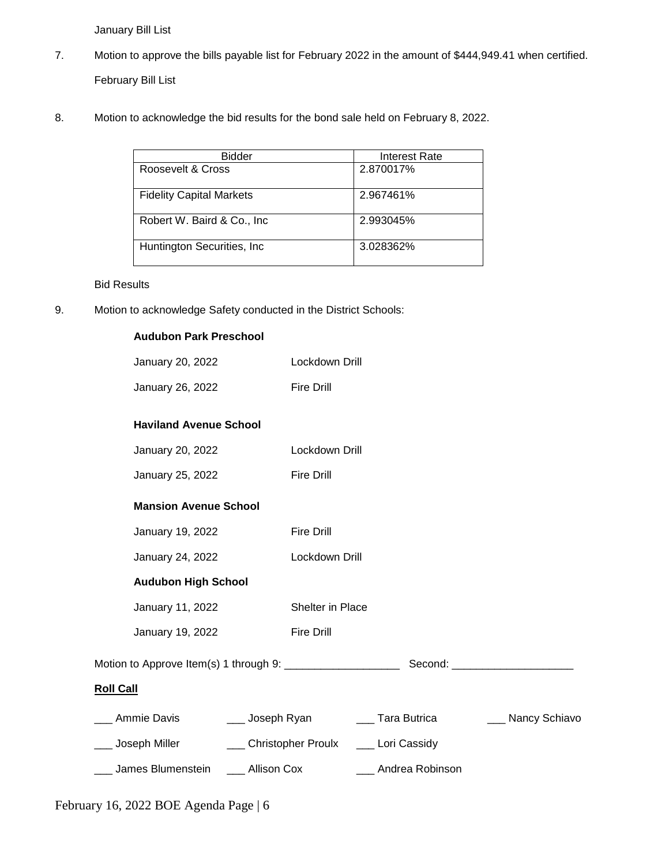January Bill List

- 7. Motion to approve the bills payable list for February 2022 in the amount of \$444,949.41 when certified. February Bill List
- 8. Motion to acknowledge the bid results for the bond sale held on February 8, 2022.

| <b>Bidder</b>                   | Interest Rate |
|---------------------------------|---------------|
| Roosevelt & Cross               | 2.870017%     |
| <b>Fidelity Capital Markets</b> | 2.967461%     |
| Robert W. Baird & Co., Inc.     | 2.993045%     |
| Huntington Securities, Inc.     | 3.028362%     |

#### Bid Results

9. Motion to acknowledge Safety conducted in the District Schools:

| <b>Audubon Park Preschool</b>                           |                                         |                     |                   |
|---------------------------------------------------------|-----------------------------------------|---------------------|-------------------|
| January 20, 2022                                        | Lockdown Drill                          |                     |                   |
| January 26, 2022                                        | <b>Fire Drill</b>                       |                     |                   |
| <b>Haviland Avenue School</b>                           |                                         |                     |                   |
| January 20, 2022                                        | Lockdown Drill                          |                     |                   |
| January 25, 2022                                        | <b>Fire Drill</b>                       |                     |                   |
| <b>Mansion Avenue School</b>                            |                                         |                     |                   |
| January 19, 2022                                        | <b>Fire Drill</b>                       |                     |                   |
| January 24, 2022                                        | Lockdown Drill                          |                     |                   |
| <b>Audubon High School</b>                              |                                         |                     |                   |
| January 11, 2022                                        | Shelter in Place                        |                     |                   |
| January 19, 2022                                        | <b>Fire Drill</b>                       |                     |                   |
|                                                         |                                         |                     |                   |
| <b>Roll Call</b>                                        |                                         |                     |                   |
| ___ Ammie Davis _______ Joseph Ryan ______ Tara Butrica |                                         |                     | ___ Nancy Schiavo |
| ___ Joseph Miller                                       | ___ Christopher Proulx ___ Lori Cassidy |                     |                   |
| ___ James Blumenstein ____ Allison Cox                  |                                         | ___ Andrea Robinson |                   |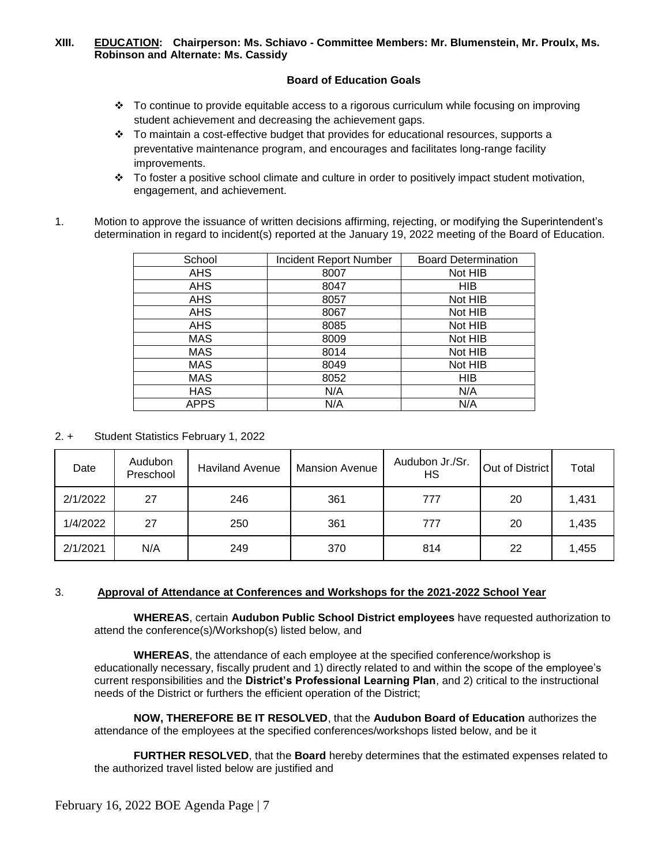#### **XIII. EDUCATION: Chairperson: Ms. Schiavo - Committee Members: Mr. Blumenstein, Mr. Proulx, Ms. Robinson and Alternate: Ms. Cassidy**

#### **Board of Education Goals**

- To continue to provide equitable access to a rigorous curriculum while focusing on improving student achievement and decreasing the achievement gaps.
- $\cdot \cdot$  To maintain a cost-effective budget that provides for educational resources, supports a preventative maintenance program, and encourages and facilitates long-range facility improvements.
- To foster a positive school climate and culture in order to positively impact student motivation, engagement, and achievement.
- 1. Motion to approve the issuance of written decisions affirming, rejecting, or modifying the Superintendent's determination in regard to incident(s) reported at the January 19, 2022 meeting of the Board of Education.

| School      | <b>Incident Report Number</b> | <b>Board Determination</b> |
|-------------|-------------------------------|----------------------------|
| AHS         | 8007                          | Not HIB                    |
| AHS         | 8047                          | HIB                        |
| <b>AHS</b>  | 8057                          | Not HIB                    |
| <b>AHS</b>  | 8067                          | Not HIB                    |
| AHS         | 8085                          | Not HIB                    |
| <b>MAS</b>  | 8009                          | Not HIB                    |
| <b>MAS</b>  | 8014                          | Not HIB                    |
| <b>MAS</b>  | 8049                          | Not HIB                    |
| <b>MAS</b>  | 8052                          | <b>HIB</b>                 |
| <b>HAS</b>  | N/A                           | N/A                        |
| <b>APPS</b> | N/A                           | N/A                        |

2. + Student Statistics February 1, 2022

| Date     | Audubon<br>Preschool | <b>Haviland Avenue</b> | <b>Mansion Avenue</b> | Audubon Jr./Sr.<br>НS | Out of District | Total |
|----------|----------------------|------------------------|-----------------------|-----------------------|-----------------|-------|
| 2/1/2022 | 27                   | 246                    | 361                   | 777                   | 20              | 1,431 |
| 1/4/2022 | 27                   | 250                    | 361                   | 777                   | 20              | 1,435 |
| 2/1/2021 | N/A                  | 249                    | 370                   | 814                   | 22              | 1,455 |

## 3. **Approval of Attendance at Conferences and Workshops for the 2021-2022 School Year**

 **WHEREAS**, certain **Audubon Public School District employees** have requested authorization to attend the conference(s)/Workshop(s) listed below, and

**WHEREAS**, the attendance of each employee at the specified conference/workshop is educationally necessary, fiscally prudent and 1) directly related to and within the scope of the employee's current responsibilities and the **District's Professional Learning Plan**, and 2) critical to the instructional needs of the District or furthers the efficient operation of the District;

**NOW, THEREFORE BE IT RESOLVED**, that the **Audubon Board of Education** authorizes the attendance of the employees at the specified conferences/workshops listed below, and be it

**FURTHER RESOLVED**, that the **Board** hereby determines that the estimated expenses related to the authorized travel listed below are justified and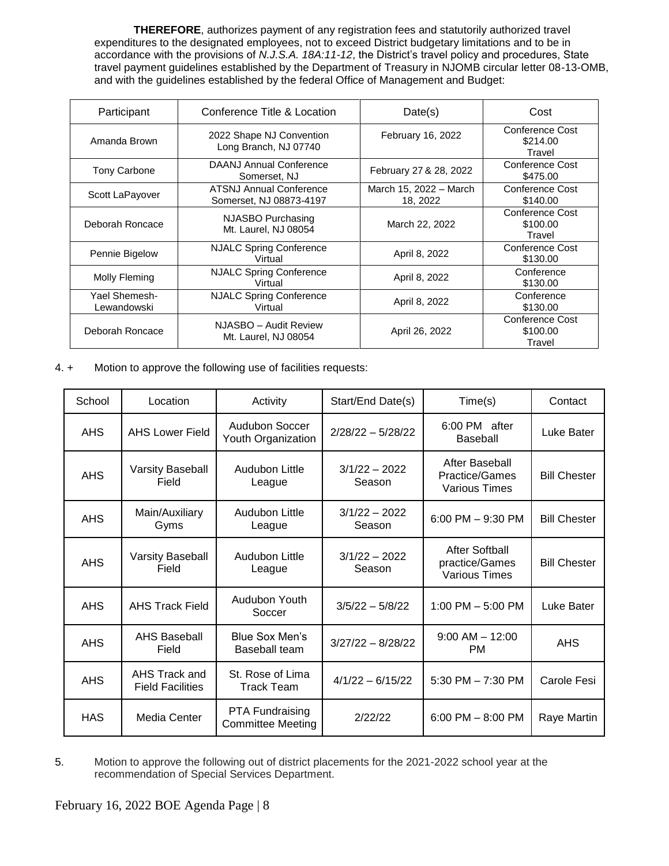**THEREFORE**, authorizes payment of any registration fees and statutorily authorized travel expenditures to the designated employees, not to exceed District budgetary limitations and to be in accordance with the provisions of *N.J.S.A. 18A:11-12*, the District's travel policy and procedures, State travel payment guidelines established by the Department of Treasury in NJOMB circular letter 08-13-OMB, and with the guidelines established by the federal Office of Management and Budget:

| Participant                  | Conference Title & Location                                            | Date(s)                            | Cost                                         |
|------------------------------|------------------------------------------------------------------------|------------------------------------|----------------------------------------------|
| Amanda Brown                 | February 16, 2022<br>2022 Shape NJ Convention<br>Long Branch, NJ 07740 |                                    | Conference Cost<br>\$214.00<br>Travel        |
| <b>Tony Carbone</b>          | DAANJ Annual Conference<br>Somerset, NJ                                | February 27 & 28, 2022             | Conference Cost<br>\$475.00                  |
| Scott LaPayover              | <b>ATSNJ Annual Conference</b><br>Somerset, NJ 08873-4197              | March 15, 2022 - March<br>18, 2022 | Conference Cost<br>\$140.00                  |
| Deborah Roncace              | NJASBO Purchasing<br>Mt. Laurel. NJ 08054                              | March 22, 2022                     | <b>Conference Cost</b><br>\$100.00<br>Travel |
| Pennie Bigelow               | <b>NJALC Spring Conference</b><br>Virtual                              | April 8, 2022                      | Conference Cost<br>\$130.00                  |
| Molly Fleming                | <b>NJALC Spring Conference</b><br>Virtual                              | April 8, 2022                      | Conference<br>\$130.00                       |
| Yael Shemesh-<br>Lewandowski | <b>NJALC Spring Conference</b><br>Virtual                              | April 8, 2022                      | Conference<br>\$130.00                       |
| Deborah Roncace              | NJASBO - Audit Review<br>Mt. Laurel, NJ 08054                          | April 26, 2022                     | <b>Conference Cost</b><br>\$100.00<br>Travel |

4. + Motion to approve the following use of facilities requests:

| School     | Location                                 | Activity                                           | Start/End Date(s)         | Time(s)                                                  | Contact             |
|------------|------------------------------------------|----------------------------------------------------|---------------------------|----------------------------------------------------------|---------------------|
| <b>AHS</b> | <b>AHS Lower Field</b>                   | Audubon Soccer<br>Youth Organization               | $2/28/22 - 5/28/22$       | 6:00 PM after<br><b>Baseball</b>                         | Luke Bater          |
| <b>AHS</b> | <b>Varsity Baseball</b><br>Field         | Audubon Little<br>League                           | $3/1/22 - 2022$<br>Season | After Baseball<br>Practice/Games<br>Various Times        | <b>Bill Chester</b> |
| <b>AHS</b> | Main/Auxiliary<br>Gyms                   | Audubon Little<br>League                           | $3/1/22 - 2022$<br>Season | 6:00 PM $-$ 9:30 PM                                      | <b>Bill Chester</b> |
| <b>AHS</b> | <b>Varsity Baseball</b><br>Field         | Audubon Little<br>League                           | $3/1/22 - 2022$<br>Season | After Softball<br>practice/Games<br><b>Various Times</b> | <b>Bill Chester</b> |
| <b>AHS</b> | <b>AHS Track Field</b>                   | Audubon Youth<br>Soccer                            | $3/5/22 - 5/8/22$         | 1:00 PM $-$ 5:00 PM                                      | Luke Bater          |
| <b>AHS</b> | <b>AHS Baseball</b><br>Field             | Blue Sox Men's<br>Baseball team                    | $3/27/22 - 8/28/22$       | $9:00$ AM $-$ 12:00<br><b>PM</b>                         | <b>AHS</b>          |
| <b>AHS</b> | AHS Track and<br><b>Field Facilities</b> | St. Rose of Lima<br><b>Track Team</b>              | $4/1/22 - 6/15/22$        | 5:30 PM $- 7:30$ PM                                      | Carole Fesi         |
| <b>HAS</b> | Media Center                             | <b>PTA Fundraising</b><br><b>Committee Meeting</b> | 2/22/22                   | $6:00$ PM $- 8:00$ PM                                    | Raye Martin         |

5. Motion to approve the following out of district placements for the 2021-2022 school year at the recommendation of Special Services Department.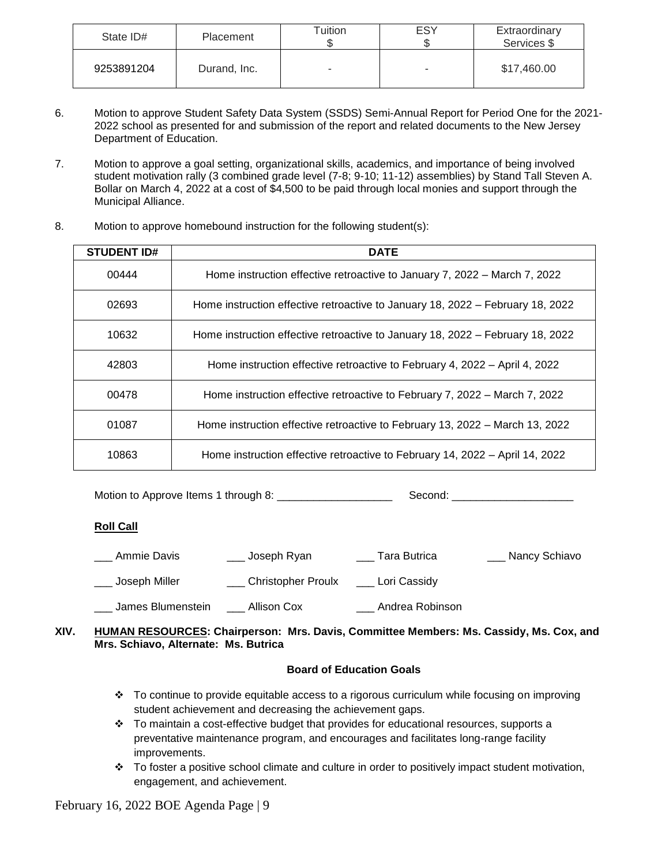| State ID#  | Placement    | Tuition                  | ESY | Extraordinary<br>Services \$ |
|------------|--------------|--------------------------|-----|------------------------------|
| 9253891204 | Durand, Inc. | $\overline{\phantom{a}}$ | ۰   | \$17,460.00                  |

- 6. Motion to approve Student Safety Data System (SSDS) Semi-Annual Report for Period One for the 2021- 2022 school as presented for and submission of the report and related documents to the New Jersey Department of Education.
- 7. Motion to approve a goal setting, organizational skills, academics, and importance of being involved student motivation rally (3 combined grade level (7-8; 9-10; 11-12) assemblies) by Stand Tall Steven A. Bollar on March 4, 2022 at a cost of \$4,500 to be paid through local monies and support through the Municipal Alliance.
- 8. Motion to approve homebound instruction for the following student(s):

| <b>STUDENT ID#</b> | <b>DATE</b>                                                                    |
|--------------------|--------------------------------------------------------------------------------|
| 00444              | Home instruction effective retroactive to January 7, 2022 – March 7, 2022      |
| 02693              | Home instruction effective retroactive to January 18, 2022 – February 18, 2022 |
| 10632              | Home instruction effective retroactive to January 18, 2022 – February 18, 2022 |
| 42803              | Home instruction effective retroactive to February 4, 2022 – April 4, 2022     |
| 00478              | Home instruction effective retroactive to February 7, 2022 – March 7, 2022     |
| 01087              | Home instruction effective retroactive to February 13, 2022 – March 13, 2022   |
| 10863              | Home instruction effective retroactive to February 14, 2022 – April 14, 2022   |

Motion to Approve Items 1 through 8: \_\_\_\_\_\_\_\_\_\_\_\_\_\_\_\_\_\_\_ Second: \_\_\_\_\_\_\_\_\_\_\_\_\_\_\_\_\_\_\_\_

## **Roll Call**

| Ammie Davis       | Joseph Ryan               | Tara Butrica    | Nancy Schiavo |
|-------------------|---------------------------|-----------------|---------------|
| Joseph Miller     | <b>Christopher Proulx</b> | Lori Cassidy    |               |
| James Blumenstein | Allison Cox               | Andrea Robinson |               |

**XIV. HUMAN RESOURCES: Chairperson: Mrs. Davis, Committee Members: Ms. Cassidy, Ms. Cox, and Mrs. Schiavo, Alternate: Ms. Butrica**

# **Board of Education Goals**

- $\cdot \cdot$  To continue to provide equitable access to a rigorous curriculum while focusing on improving student achievement and decreasing the achievement gaps.
- $\cdot \cdot$  To maintain a cost-effective budget that provides for educational resources, supports a preventative maintenance program, and encourages and facilitates long-range facility improvements.
- $\cdot \cdot$  To foster a positive school climate and culture in order to positively impact student motivation, engagement, and achievement.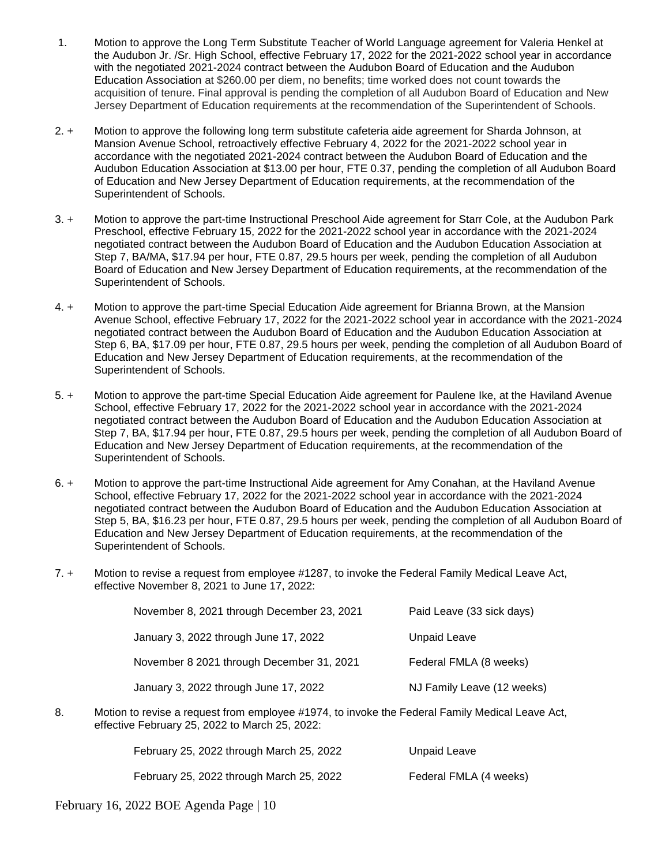- 1. Motion to approve the Long Term Substitute Teacher of World Language agreement for Valeria Henkel at the Audubon Jr. /Sr. High School, effective February 17, 2022 for the 2021-2022 school year in accordance with the negotiated 2021-2024 contract between the Audubon Board of Education and the Audubon Education Association at \$260.00 per diem, no benefits; time worked does not count towards the acquisition of tenure. Final approval is pending the completion of all Audubon Board of Education and New Jersey Department of Education requirements at the recommendation of the Superintendent of Schools.
- 2. + Motion to approve the following long term substitute cafeteria aide agreement for Sharda Johnson, at Mansion Avenue School, retroactively effective February 4, 2022 for the 2021-2022 school year in accordance with the negotiated 2021-2024 contract between the Audubon Board of Education and the Audubon Education Association at \$13.00 per hour, FTE 0.37, pending the completion of all Audubon Board of Education and New Jersey Department of Education requirements, at the recommendation of the Superintendent of Schools.
- 3. + Motion to approve the part-time Instructional Preschool Aide agreement for Starr Cole, at the Audubon Park Preschool, effective February 15, 2022 for the 2021-2022 school year in accordance with the 2021-2024 negotiated contract between the Audubon Board of Education and the Audubon Education Association at Step 7, BA/MA, \$17.94 per hour, FTE 0.87, 29.5 hours per week, pending the completion of all Audubon Board of Education and New Jersey Department of Education requirements, at the recommendation of the Superintendent of Schools.
- 4. + Motion to approve the part-time Special Education Aide agreement for Brianna Brown, at the Mansion Avenue School, effective February 17, 2022 for the 2021-2022 school year in accordance with the 2021-2024 negotiated contract between the Audubon Board of Education and the Audubon Education Association at Step 6, BA, \$17.09 per hour, FTE 0.87, 29.5 hours per week, pending the completion of all Audubon Board of Education and New Jersey Department of Education requirements, at the recommendation of the Superintendent of Schools.
- 5. + Motion to approve the part-time Special Education Aide agreement for Paulene Ike, at the Haviland Avenue School, effective February 17, 2022 for the 2021-2022 school year in accordance with the 2021-2024 negotiated contract between the Audubon Board of Education and the Audubon Education Association at Step 7, BA, \$17.94 per hour, FTE 0.87, 29.5 hours per week, pending the completion of all Audubon Board of Education and New Jersey Department of Education requirements, at the recommendation of the Superintendent of Schools.
- 6. + Motion to approve the part-time Instructional Aide agreement for Amy Conahan, at the Haviland Avenue School, effective February 17, 2022 for the 2021-2022 school year in accordance with the 2021-2024 negotiated contract between the Audubon Board of Education and the Audubon Education Association at Step 5, BA, \$16.23 per hour, FTE 0.87, 29.5 hours per week, pending the completion of all Audubon Board of Education and New Jersey Department of Education requirements, at the recommendation of the Superintendent of Schools.
- 7. + Motion to revise a request from employee #1287, to invoke the Federal Family Medical Leave Act, effective November 8, 2021 to June 17, 2022:

| November 8, 2021 through December 23, 2021 | Paid Leave (33 sick days)  |
|--------------------------------------------|----------------------------|
| January 3, 2022 through June 17, 2022      | Unpaid Leave               |
| November 8 2021 through December 31, 2021  | Federal FMLA (8 weeks)     |
| January 3, 2022 through June 17, 2022      | NJ Family Leave (12 weeks) |

8. Motion to revise a request from employee #1974, to invoke the Federal Family Medical Leave Act, effective February 25, 2022 to March 25, 2022:

| February 25, 2022 through March 25, 2022 | Unpaid Leave           |
|------------------------------------------|------------------------|
| February 25, 2022 through March 25, 2022 | Federal FMLA (4 weeks) |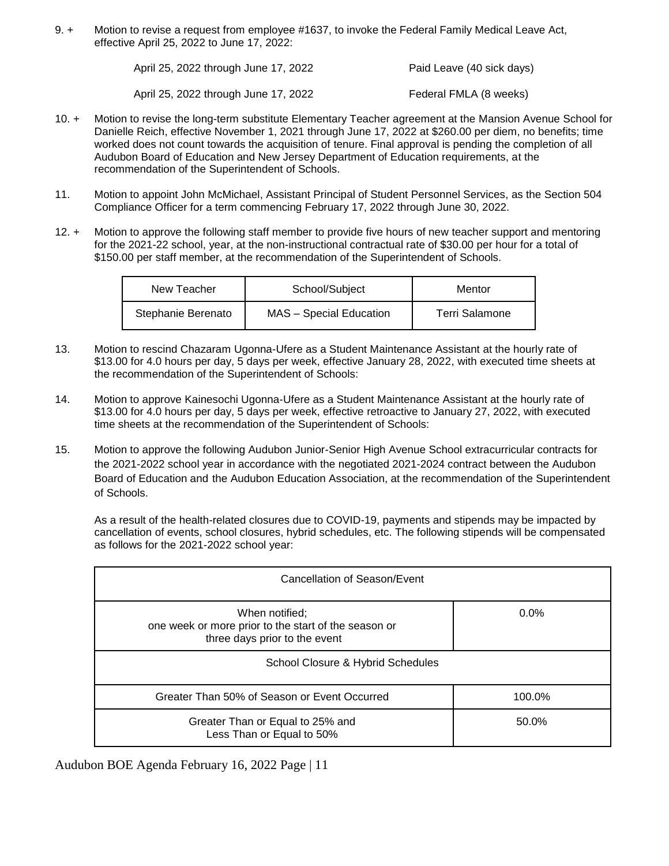9. + Motion to revise a request from employee #1637, to invoke the Federal Family Medical Leave Act, effective April 25, 2022 to June 17, 2022:

| April 25, 2022 through June 17, 2022 | Paid Leave (40 sick days) |
|--------------------------------------|---------------------------|
|                                      |                           |

April 25, 2022 through June 17, 2022 Federal FMLA (8 weeks)

- 10. + Motion to revise the long-term substitute Elementary Teacher agreement at the Mansion Avenue School for Danielle Reich, effective November 1, 2021 through June 17, 2022 at \$260.00 per diem, no benefits; time worked does not count towards the acquisition of tenure. Final approval is pending the completion of all Audubon Board of Education and New Jersey Department of Education requirements, at the recommendation of the Superintendent of Schools.
- 11. Motion to appoint John McMichael, Assistant Principal of Student Personnel Services, as the Section 504 Compliance Officer for a term commencing February 17, 2022 through June 30, 2022.
- 12. + Motion to approve the following staff member to provide five hours of new teacher support and mentoring for the 2021-22 school, year, at the non-instructional contractual rate of \$30.00 per hour for a total of \$150.00 per staff member, at the recommendation of the Superintendent of Schools.

| New Teacher        | School/Subject                 | Mentor         |
|--------------------|--------------------------------|----------------|
| Stephanie Berenato | <b>MAS</b> - Special Education | Terri Salamone |

- 13. Motion to rescind Chazaram Ugonna-Ufere as a Student Maintenance Assistant at the hourly rate of \$13.00 for 4.0 hours per day, 5 days per week, effective January 28, 2022, with executed time sheets at the recommendation of the Superintendent of Schools:
- 14. Motion to approve Kainesochi Ugonna-Ufere as a Student Maintenance Assistant at the hourly rate of \$13.00 for 4.0 hours per day, 5 days per week, effective retroactive to January 27, 2022, with executed time sheets at the recommendation of the Superintendent of Schools:
- 15. Motion to approve the following Audubon Junior-Senior High Avenue School extracurricular contracts for the 2021-2022 school year in accordance with the negotiated 2021-2024 contract between the Audubon Board of Education and the Audubon Education Association, at the recommendation of the Superintendent of Schools.

As a result of the health-related closures due to COVID-19, payments and stipends may be impacted by cancellation of events, school closures, hybrid schedules, etc. The following stipends will be compensated as follows for the 2021-2022 school year:

| Cancellation of Season/Event                                                                            |         |  |
|---------------------------------------------------------------------------------------------------------|---------|--|
| When notified;<br>one week or more prior to the start of the season or<br>three days prior to the event | $0.0\%$ |  |
| School Closure & Hybrid Schedules                                                                       |         |  |
| Greater Than 50% of Season or Event Occurred                                                            | 100.0%  |  |
| Greater Than or Equal to 25% and<br>Less Than or Equal to 50%                                           | 50.0%   |  |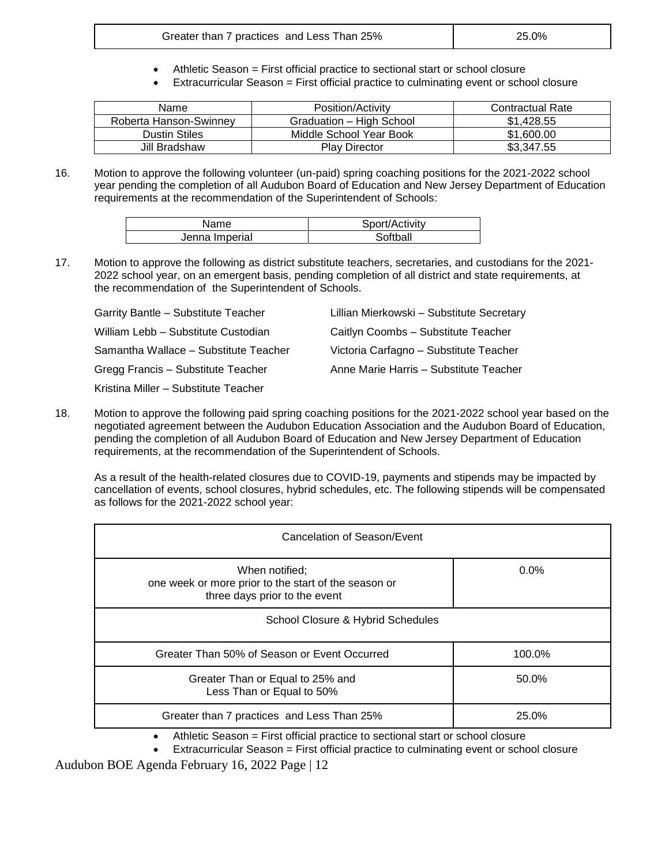- Athletic Season = First official practice to sectional start or school closure
- Extracurricular Season = First official practice to culminating event or school closure

| Name                   | Position/Activity        | <b>Contractual Rate</b> |
|------------------------|--------------------------|-------------------------|
| Roberta Hanson-Swinney | Graduation - High School | \$1.428.55              |
| <b>Dustin Stiles</b>   | Middle School Year Book  | \$1,600.00              |
| Jill Bradshaw          | <b>Play Director</b>     | \$3,347.55              |

16. Motion to approve the following volunteer (un-paid) spring coaching positions for the 2021-2022 school year pending the completion of all Audubon Board of Education and New Jersey Department of Education requirements at the recommendation of the Superintendent of Schools:

| Name           | Sport/Activity |
|----------------|----------------|
| Jenna Imperial | Softball       |

17. Motion to approve the following as district substitute teachers, secretaries, and custodians for the 2021- 2022 school year, on an emergent basis, pending completion of all district and state requirements, at the recommendation of the Superintendent of Schools.

| Garrity Bantle - Substitute Teacher   | Lillian Mierkowski - Substitute Secretary |
|---------------------------------------|-------------------------------------------|
| William Lebb - Substitute Custodian   | Caitlyn Coombs - Substitute Teacher       |
| Samantha Wallace - Substitute Teacher | Victoria Carfagno - Substitute Teacher    |
| Gregg Francis - Substitute Teacher    | Anne Marie Harris - Substitute Teacher    |
| Kristina Miller - Substitute Teacher  |                                           |

18. Motion to approve the following paid spring coaching positions for the 2021-2022 school year based on the negotiated agreement between the Audubon Education Association and the Audubon Board of Education, pending the completion of all Audubon Board of Education and New Jersey Department of Education requirements, at the recommendation of the Superintendent of Schools.

As a result of the health-related closures due to COVID-19, payments and stipends may be impacted by cancellation of events, school closures, hybrid schedules, etc. The following stipends will be compensated as follows for the 2021-2022 school year:

| Cancelation of Season/Event                                                                             |         |  |
|---------------------------------------------------------------------------------------------------------|---------|--|
| When notified;<br>one week or more prior to the start of the season or<br>three days prior to the event | $0.0\%$ |  |
| School Closure & Hybrid Schedules                                                                       |         |  |
| Greater Than 50% of Season or Event Occurred                                                            | 100.0%  |  |
| Greater Than or Equal to 25% and<br>Less Than or Equal to 50%                                           | 50.0%   |  |
| Greater than 7 practices and Less Than 25%                                                              | 25.0%   |  |

- Athletic Season = First official practice to sectional start or school closure
- Extracurricular Season = First official practice to culminating event or school closure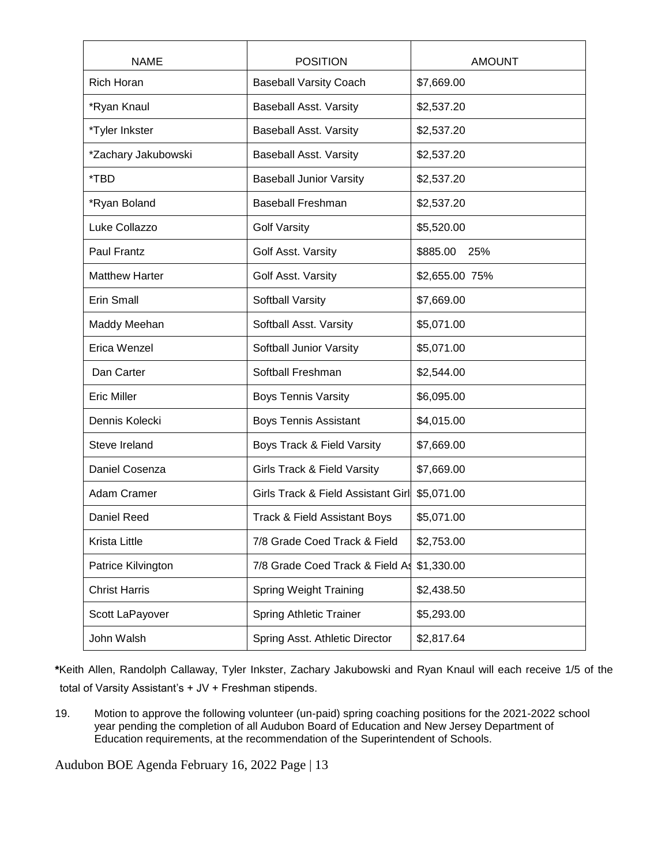| <b>NAME</b>           | <b>POSITION</b>                    | <b>AMOUNT</b>   |
|-----------------------|------------------------------------|-----------------|
| <b>Rich Horan</b>     | <b>Baseball Varsity Coach</b>      | \$7,669.00      |
| *Ryan Knaul           | <b>Baseball Asst. Varsity</b>      | \$2,537.20      |
| *Tyler Inkster        | <b>Baseball Asst. Varsity</b>      | \$2,537.20      |
| *Zachary Jakubowski   | <b>Baseball Asst. Varsity</b>      | \$2,537.20      |
| *TBD                  | <b>Baseball Junior Varsity</b>     | \$2,537.20      |
| *Ryan Boland          | <b>Baseball Freshman</b>           | \$2,537.20      |
| Luke Collazzo         | <b>Golf Varsity</b>                | \$5,520.00      |
| <b>Paul Frantz</b>    | Golf Asst. Varsity                 | \$885.00<br>25% |
| <b>Matthew Harter</b> | Golf Asst. Varsity                 | \$2,655.00 75%  |
| Erin Small            | Softball Varsity                   | \$7,669.00      |
| Maddy Meehan          | Softball Asst. Varsity             | \$5,071.00      |
| Erica Wenzel          | Softball Junior Varsity            | \$5,071.00      |
| Dan Carter            | Softball Freshman                  | \$2,544.00      |
| <b>Eric Miller</b>    | <b>Boys Tennis Varsity</b>         | \$6,095.00      |
| Dennis Kolecki        | <b>Boys Tennis Assistant</b>       | \$4,015.00      |
| Steve Ireland         | Boys Track & Field Varsity         | \$7,669.00      |
| Daniel Cosenza        | Girls Track & Field Varsity        | \$7,669.00      |
| Adam Cramer           | Girls Track & Field Assistant Girl | \$5,071.00      |
| Daniel Reed           | Track & Field Assistant Boys       | \$5,071.00      |
| Krista Little         | 7/8 Grade Coed Track & Field       | \$2,753.00      |
| Patrice Kilvington    | 7/8 Grade Coed Track & Field As    | \$1,330.00      |
| <b>Christ Harris</b>  | <b>Spring Weight Training</b>      | \$2,438.50      |
| Scott LaPayover       | <b>Spring Athletic Trainer</b>     | \$5,293.00      |
| John Walsh            | Spring Asst. Athletic Director     | \$2,817.64      |

**\***Keith Allen, Randolph Callaway, Tyler Inkster, Zachary Jakubowski and Ryan Knaul will each receive 1/5 of the total of Varsity Assistant's + JV + Freshman stipends.

19. Motion to approve the following volunteer (un-paid) spring coaching positions for the 2021-2022 school year pending the completion of all Audubon Board of Education and New Jersey Department of Education requirements, at the recommendation of the Superintendent of Schools.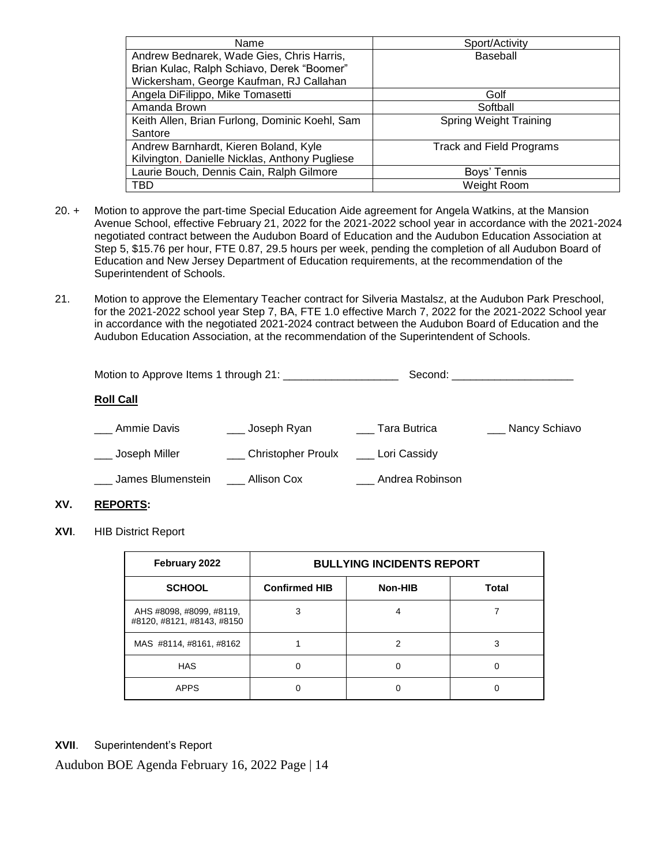| Name                                           | Sport/Activity                  |
|------------------------------------------------|---------------------------------|
| Andrew Bednarek, Wade Gies, Chris Harris,      | Baseball                        |
| Brian Kulac, Ralph Schiavo, Derek "Boomer"     |                                 |
| Wickersham, George Kaufman, RJ Callahan        |                                 |
| Angela DiFilippo, Mike Tomasetti               | Golf                            |
| Amanda Brown                                   | Softball                        |
| Keith Allen, Brian Furlong, Dominic Koehl, Sam | <b>Spring Weight Training</b>   |
| Santore                                        |                                 |
| Andrew Barnhardt, Kieren Boland, Kyle          | <b>Track and Field Programs</b> |
| Kilvington, Danielle Nicklas, Anthony Pugliese |                                 |
| Laurie Bouch, Dennis Cain, Ralph Gilmore       | Boys' Tennis                    |
| <b>TBD</b>                                     | Weight Room                     |

- 20. + Motion to approve the part-time Special Education Aide agreement for Angela Watkins, at the Mansion Avenue School, effective February 21, 2022 for the 2021-2022 school year in accordance with the 2021-2024 negotiated contract between the Audubon Board of Education and the Audubon Education Association at Step 5, \$15.76 per hour, FTE 0.87, 29.5 hours per week, pending the completion of all Audubon Board of Education and New Jersey Department of Education requirements, at the recommendation of the Superintendent of Schools.
- 21. Motion to approve the Elementary Teacher contract for Silveria Mastalsz, at the Audubon Park Preschool, for the 2021-2022 school year Step 7, BA, FTE 1.0 effective March 7, 2022 for the 2021-2022 School year in accordance with the negotiated 2021-2024 contract between the Audubon Board of Education and the Audubon Education Association, at the recommendation of the Superintendent of Schools.

|                   |                    |                 | Second: with the contract of the contract of the contract of the contract of the contract of the contract of the contract of the contract of the contract of the contract of the contract of the contract of the contract of t |
|-------------------|--------------------|-----------------|--------------------------------------------------------------------------------------------------------------------------------------------------------------------------------------------------------------------------------|
| <b>Roll Call</b>  |                    |                 |                                                                                                                                                                                                                                |
| Ammie Davis       | ___ Joseph Ryan    | Tara Butrica    | ___ Nancy Schiavo                                                                                                                                                                                                              |
| Joseph Miller     | Christopher Proulx | Lori Cassidy    |                                                                                                                                                                                                                                |
| James Blumenstein | Allison Cox        | Andrea Robinson |                                                                                                                                                                                                                                |

## **XV. REPORTS:**

**XVI**. HIB District Report

| February 2022                                          | <b>BULLYING INCIDENTS REPORT</b> |         |              |  |
|--------------------------------------------------------|----------------------------------|---------|--------------|--|
| <b>SCHOOL</b>                                          | <b>Confirmed HIB</b>             | Non-HIB | <b>Total</b> |  |
| AHS #8098, #8099, #8119,<br>#8120, #8121, #8143, #8150 | 3                                |         |              |  |
| MAS #8114, #8161, #8162                                |                                  | 2       | 3            |  |
| <b>HAS</b>                                             |                                  |         |              |  |
| <b>APPS</b>                                            |                                  |         |              |  |

## **XVII**. Superintendent's Report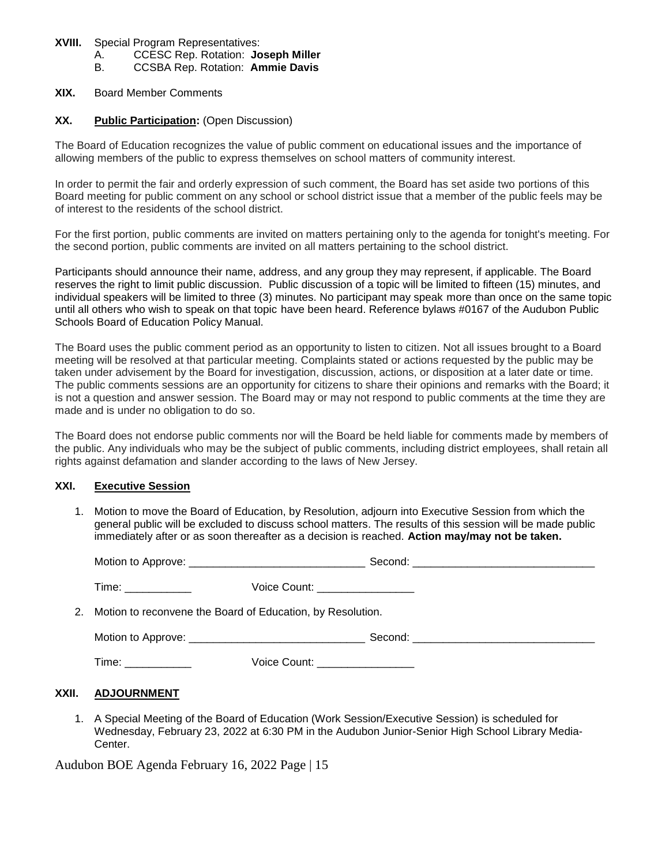#### **XVIII.** Special Program Representatives:

A. CCESC Rep. Rotation: **Joseph Miller**

B. CCSBA Rep. Rotation: **Ammie Davis**

#### **XIX.** Board Member Comments

### **XX. Public Participation:** (Open Discussion)

The Board of Education recognizes the value of public comment on educational issues and the importance of allowing members of the public to express themselves on school matters of community interest.

In order to permit the fair and orderly expression of such comment, the Board has set aside two portions of this Board meeting for public comment on any school or school district issue that a member of the public feels may be of interest to the residents of the school district.

For the first portion, public comments are invited on matters pertaining only to the agenda for tonight's meeting. For the second portion, public comments are invited on all matters pertaining to the school district.

Participants should announce their name, address, and any group they may represent, if applicable. The Board reserves the right to limit public discussion. Public discussion of a topic will be limited to fifteen (15) minutes, and individual speakers will be limited to three (3) minutes. No participant may speak more than once on the same topic until all others who wish to speak on that topic have been heard. Reference bylaws #0167 of the Audubon Public Schools Board of Education Policy Manual.

The Board uses the public comment period as an opportunity to listen to citizen. Not all issues brought to a Board meeting will be resolved at that particular meeting. Complaints stated or actions requested by the public may be taken under advisement by the Board for investigation, discussion, actions, or disposition at a later date or time. The public comments sessions are an opportunity for citizens to share their opinions and remarks with the Board; it is not a question and answer session. The Board may or may not respond to public comments at the time they are made and is under no obligation to do so.

The Board does not endorse public comments nor will the Board be held liable for comments made by members of the public. Any individuals who may be the subject of public comments, including district employees, shall retain all rights against defamation and slander according to the laws of New Jersey.

## **XXI. Executive Session**

1. Motion to move the Board of Education, by Resolution, adjourn into Executive Session from which the general public will be excluded to discuss school matters. The results of this session will be made public immediately after or as soon thereafter as a decision is reached. **Action may/may not be taken.**

| Time: ____________                                                                                             | Voice Count: __________________ |  |  |  |
|----------------------------------------------------------------------------------------------------------------|---------------------------------|--|--|--|
| 2. Motion to reconvene the Board of Education, by Resolution.                                                  |                                 |  |  |  |
|                                                                                                                |                                 |  |  |  |
| Time: with the contract of the contract of the contract of the contract of the contract of the contract of the | Voice Count: __________________ |  |  |  |

## **XXII. ADJOURNMENT**

1. A Special Meeting of the Board of Education (Work Session/Executive Session) is scheduled for Wednesday, February 23, 2022 at 6:30 PM in the Audubon Junior-Senior High School Library Media-Center.